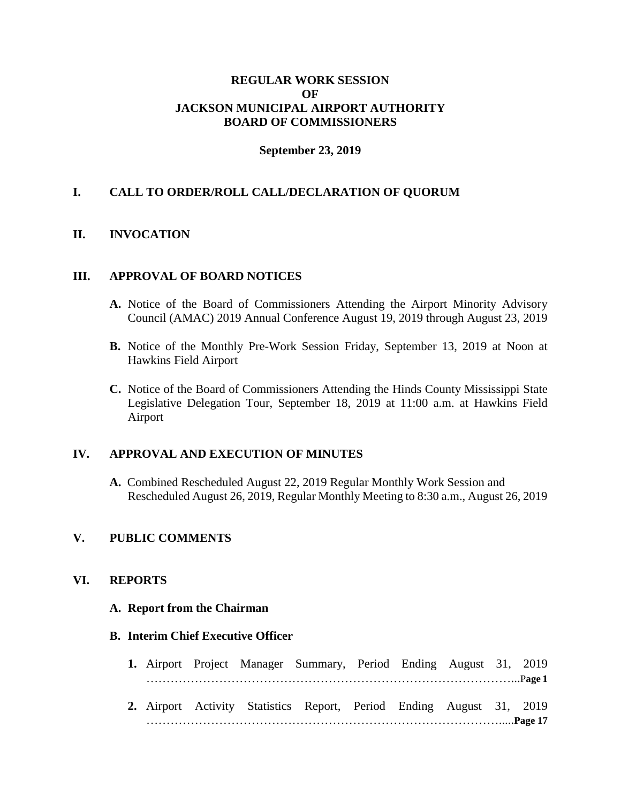# **REGULAR WORK SESSION OF JACKSON MUNICIPAL AIRPORT AUTHORITY BOARD OF COMMISSIONERS**

### **September 23, 2019**

# **I. CALL TO ORDER/ROLL CALL/DECLARATION OF QUORUM**

# **II. INVOCATION**

#### **III. APPROVAL OF BOARD NOTICES**

- **A.** Notice of the Board of Commissioners Attending the Airport Minority Advisory Council (AMAC) 2019 Annual Conference August 19, 2019 through August 23, 2019
- **B.** Notice of the Monthly Pre-Work Session Friday, September 13, 2019 at Noon at Hawkins Field Airport
- **C.** Notice of the Board of Commissioners Attending the Hinds County Mississippi State Legislative Delegation Tour, September 18, 2019 at 11:00 a.m. at Hawkins Field Airport

# **IV. APPROVAL AND EXECUTION OF MINUTES**

**A.** Combined Rescheduled August 22, 2019 Regular Monthly Work Session and Rescheduled August 26, 2019, Regular Monthly Meeting to 8:30 a.m., August 26, 2019

# **V. PUBLIC COMMENTS**

### **VI. REPORTS**

#### **A. Report from the Chairman**

### **B. Interim Chief Executive Officer**

- **1.** Airport Project Manager Summary, Period Ending August 31, 2019 ………………………………………………………………………………...P**age 1**
- **2.** Airport Activity Statistics Report, Period Ending August 31, 2019 …………………………………………………………………………….....**Page 17**